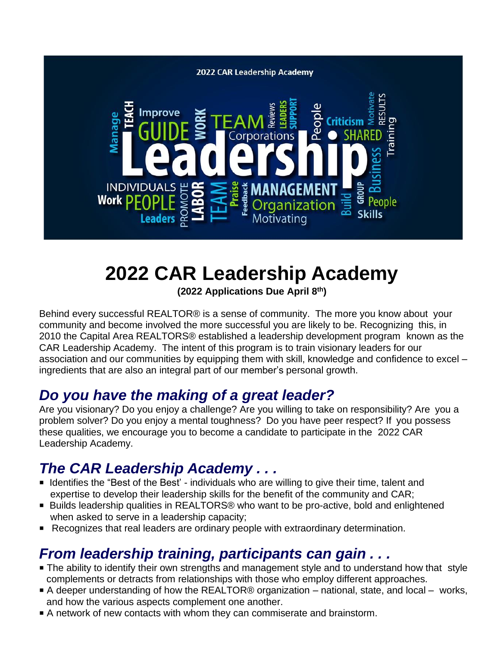

## **2022 CAR Leadership Academy**

**(2022 Applications Due April 8th)**

Behind every successful REALTOR® is a sense of community. The more you know about your community and become involved the more successful you are likely to be. Recognizing this, in 2010 the Capital Area REALTORS® established a leadership development program known as the CAR Leadership Academy. The intent of this program is to train visionary leaders for our association and our communities by equipping them with skill, knowledge and confidence to excel – ingredients that are also an integral part of our member's personal growth.

### *Do you have the making of a great leader?*

Are you visionary? Do you enjoy a challenge? Are you willing to take on responsibility? Are you a problem solver? Do you enjoy a mental toughness? Do you have peer respect? If you possess these qualities, we encourage you to become a candidate to participate in the 2022 CAR Leadership Academy.

### *The CAR Leadership Academy . . .*

- **E** Identifies the "Best of the Best" individuals who are willing to give their time, talent and expertise to develop their leadership skills for the benefit of the community and CAR;
- Builds leadership qualities in REALTORS® who want to be pro-active, bold and enlightened when asked to serve in a leadership capacity;
- **P** Recognizes that real leaders are ordinary people with extraordinary determination.

### *From leadership training, participants can gain . . .*

- The ability to identify their own strengths and management style and to understand how that style complements or detracts from relationships with those who employ different approaches.
- A deeper understanding of how the REALTOR® organization national, state, and local works, and how the various aspects complement one another.
- P A network of new contacts with whom they can commiserate and brainstorm.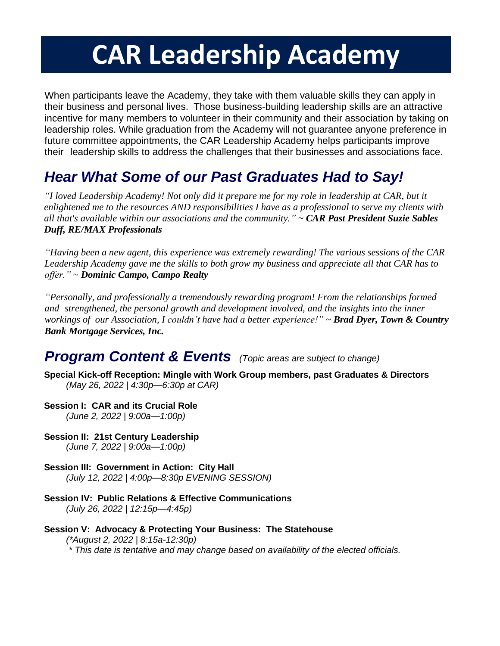# **CAR Leadership Academy**

When participants leave the Academy, they take with them valuable skills they can apply in their business and personal lives. Those business-building leadership skills are an attractive incentive for many members to volunteer in their community and their association by taking on leadership roles. While graduation from the Academy will not guarantee anyone preference in future committee appointments, the CAR Leadership Academy helps participants improve their leadership skills to address the challenges that their businesses and associations face.

### *Hear What Some of our Past Graduates Had to Say!*

*"I loved Leadership Academy! Not only did it prepare me for my role in leadership at CAR, but it enlightened me to the resources AND responsibilities I have as a professional to serve my clients with all that's available within our associations and the community." ~ CAR Past President Suzie Sables Duff, RE/MAX Professionals*

*"Having been a new agent, this experience was extremely rewarding! The various sessions of the CAR Leadership Academy gave me the skills to both grow my business and appreciate all that CAR has to offer."* ~ *Dominic Campo, Campo Realty*

*"Personally, and professionally a tremendously rewarding program! From the relationships formed and strengthened, the personal growth and development involved, and the insights into the inner workings of our Association, I couldn't have had a better experience!" ~ Brad Dyer, Town & Country Bank Mortgage Services, Inc.*

### *Program Content & Events (Topic areas are subject to change)*

- **Special Kick-off Reception: Mingle with Work Group members, past Graduates & Directors** *(May 26, 2022 | 4:30p—6:30p at CAR)*
- **Session I: CAR and its Crucial Role**

*(June 2, 2022 | 9:00a—1:00p)*

- **Session II: 21st Century Leadership**  *(June 7, 2022 | 9:00a—1:00p)*
- **Session III: Government in Action: City Hall** *(July 12, 2022 | 4:00p—8:30p EVENING SESSION)*
- **Session IV: Public Relations & Effective Communications** *(July 26, 2022 | 12:15p—4:45p)*
- **Session V: Advocacy & Protecting Your Business: The Statehouse**  *(\*August 2, 2022 | 8:15a-12:30p)*
	- *\* This date is tentative and may change based on availability of the elected officials.*